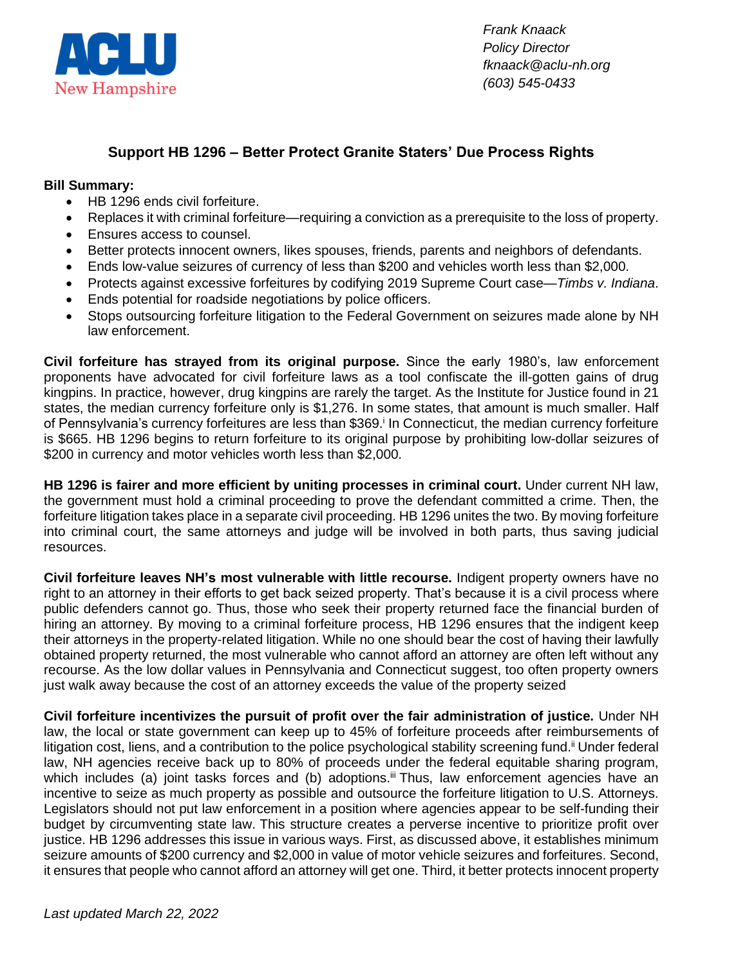

*Frank Knaack Policy Director fknaack@aclu-nh.org (603) 545-0433*

## **Support HB 1296 – Better Protect Granite Staters' Due Process Rights**

## **Bill Summary:**

- HB 1296 ends civil forfeiture.
- Replaces it with criminal forfeiture—requiring a conviction as a prerequisite to the loss of property.
- Ensures access to counsel.
- Better protects innocent owners, likes spouses, friends, parents and neighbors of defendants.
- Ends low-value seizures of currency of less than \$200 and vehicles worth less than \$2,000.
- Protects against excessive forfeitures by codifying 2019 Supreme Court case—*Timbs v. Indiana*.
- Ends potential for roadside negotiations by police officers.
- Stops outsourcing forfeiture litigation to the Federal Government on seizures made alone by NH law enforcement.

**Civil forfeiture has strayed from its original purpose.** Since the early 1980's, law enforcement proponents have advocated for civil forfeiture laws as a tool confiscate the ill-gotten gains of drug kingpins. In practice, however, drug kingpins are rarely the target. As the Institute for Justice found in 21 states, the median currency forfeiture only is \$1,276. In some states, that amount is much smaller. Half of Pennsylvania's currency forfeitures are less than \$369.<sup>i</sup> In Connecticut, the median currency forfeiture is \$665. HB 1296 begins to return forfeiture to its original purpose by prohibiting low-dollar seizures of \$200 in currency and motor vehicles worth less than \$2,000.

**HB 1296 is fairer and more efficient by uniting processes in criminal court.** Under current NH law, the government must hold a criminal proceeding to prove the defendant committed a crime. Then, the forfeiture litigation takes place in a separate civil proceeding. HB 1296 unites the two. By moving forfeiture into criminal court, the same attorneys and judge will be involved in both parts, thus saving judicial resources.

**Civil forfeiture leaves NH's most vulnerable with little recourse.** Indigent property owners have no right to an attorney in their efforts to get back seized property. That's because it is a civil process where public defenders cannot go. Thus, those who seek their property returned face the financial burden of hiring an attorney. By moving to a criminal forfeiture process, HB 1296 ensures that the indigent keep their attorneys in the property-related litigation. While no one should bear the cost of having their lawfully obtained property returned, the most vulnerable who cannot afford an attorney are often left without any recourse. As the low dollar values in Pennsylvania and Connecticut suggest, too often property owners just walk away because the cost of an attorney exceeds the value of the property seized

**Civil forfeiture incentivizes the pursuit of profit over the fair administration of justice.** Under NH law, the local or state government can keep up to 45% of forfeiture proceeds after reimbursements of litigation cost, liens, and a contribution to the police psychological stability screening fund.<sup>ii</sup> Under federal law, NH agencies receive back up to 80% of proceeds under the federal equitable sharing program, which includes (a) joint tasks forces and (b) adoptions.<sup>iii</sup> Thus, law enforcement agencies have an incentive to seize as much property as possible and outsource the forfeiture litigation to U.S. Attorneys. Legislators should not put law enforcement in a position where agencies appear to be self-funding their budget by circumventing state law. This structure creates a perverse incentive to prioritize profit over justice. HB 1296 addresses this issue in various ways. First, as discussed above, it establishes minimum seizure amounts of \$200 currency and \$2,000 in value of motor vehicle seizures and forfeitures. Second, it ensures that people who cannot afford an attorney will get one. Third, it better protects innocent property